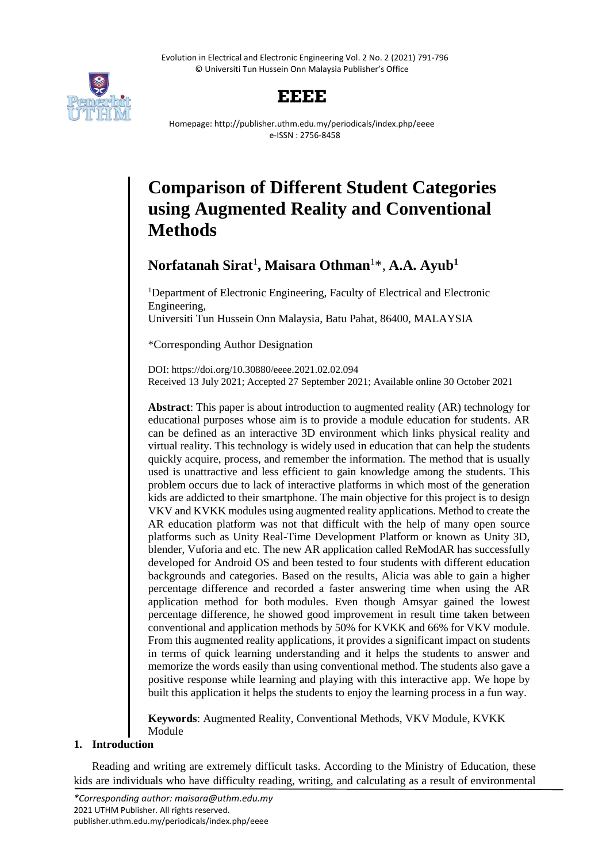Evolution in Electrical and Electronic Engineering Vol. 2 No. 2 (2021) 791-796 © Universiti Tun Hussein Onn Malaysia Publisher's Office



## **EEEE**

Homepage: http://publisher.uthm.edu.my/periodicals/index.php/eeee e-ISSN : 2756-8458

# **Comparison of Different Student Categories using Augmented Reality and Conventional Methods**

## **Norfatanah Sirat**<sup>1</sup> **, Maisara Othman**<sup>1</sup>\*, **A.A. Ayub<sup>1</sup>**

<sup>1</sup>Department of Electronic Engineering, Faculty of Electrical and Electronic Engineering,

Universiti Tun Hussein Onn Malaysia, Batu Pahat, 86400, MALAYSIA

\*Corresponding Author Designation

DOI: https://doi.org/10.30880/eeee.2021.02.02.094 Received 13 July 2021; Accepted 27 September 2021; Available online 30 October 2021

**Abstract**: This paper is about introduction to augmented reality (AR) technology for educational purposes whose aim is to provide a module education for students. AR can be defined as an interactive 3D environment which links physical reality and virtual reality. This technology is widely used in education that can help the students quickly acquire, process, and remember the information. The method that is usually used is unattractive and less efficient to gain knowledge among the students. This problem occurs due to lack of interactive platforms in which most of the generation kids are addicted to their smartphone. The main objective for this project is to design VKV and KVKK modules using augmented reality applications. Method to create the AR education platform was not that difficult with the help of many open source platforms such as Unity Real-Time Development Platform or known as Unity 3D, blender, Vuforia and etc. The new AR application called ReModAR has successfully developed for Android OS and been tested to four students with different education backgrounds and categories. Based on the results, Alicia was able to gain a higher percentage difference and recorded a faster answering time when using the AR application method for both modules. Even though Amsyar gained the lowest percentage difference, he showed good improvement in result time taken between conventional and application methods by 50% for KVKK and 66% for VKV module. From this augmented reality applications, it provides a significant impact on students in terms of quick learning understanding and it helps the students to answer and memorize the words easily than using conventional method. The students also gave a positive response while learning and playing with this interactive app. We hope by built this application it helps the students to enjoy the learning process in a fun way.

**Keywords**: Augmented Reality, Conventional Methods, VKV Module, KVKK Module

### **1. Introduction**

Reading and writing are extremely difficult tasks. According to the Ministry of Education, these kids are individuals who have difficulty reading, writing, and calculating as a result of environmental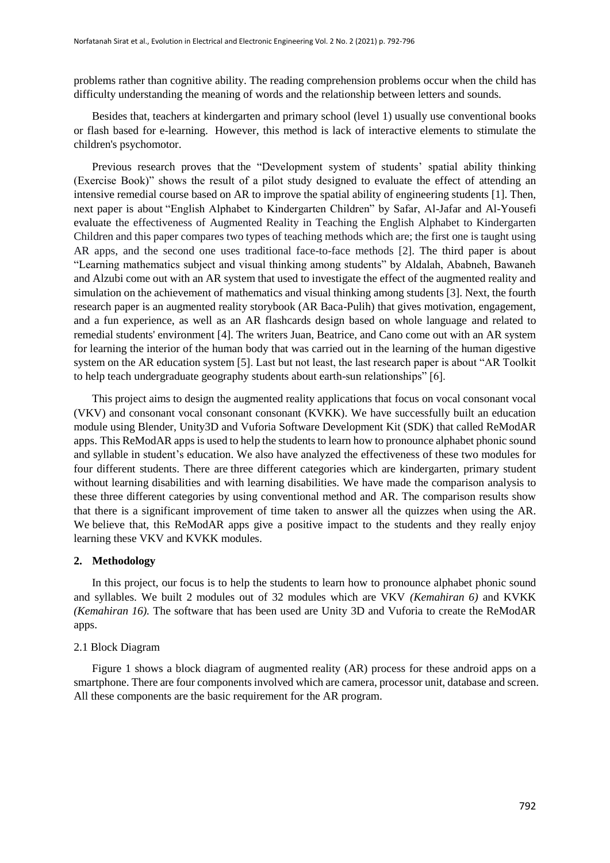problems rather than cognitive ability. The reading comprehension problems occur when the child has difficulty understanding the meaning of words and the relationship between letters and sounds.

Besides that, teachers at kindergarten and primary school (level 1) usually use conventional books or flash based for e-learning. However, this method is lack of interactive elements to stimulate the children's psychomotor.

Previous research proves that the "Development system of students' spatial ability thinking (Exercise Book)" shows the result of a pilot study designed to evaluate the effect of attending an intensive remedial course based on AR to improve the spatial ability of engineering students [1]. Then, next paper is about "English Alphabet to Kindergarten Children" by Safar, Al-Jafar and Al-Yousefi evaluate the effectiveness of Augmented Reality in Teaching the English Alphabet to Kindergarten Children and this paper compares two types of teaching methods which are; the first one is taught using AR apps, and the second one uses traditional face-to-face methods [2]. The third paper is about "Learning mathematics subject and visual thinking among students" by Aldalah, Ababneh, Bawaneh and Alzubi come out with an AR system that used to investigate the effect of the augmented reality and simulation on the achievement of mathematics and visual thinking among students [3]. Next, the fourth research paper is an augmented reality storybook (AR Baca-Pulih) that gives motivation, engagement, and a fun experience, as well as an AR flashcards design based on whole language and related to remedial students' environment [4]. The writers Juan, Beatrice, and Cano come out with an AR system for learning the interior of the human body that was carried out in the learning of the human digestive system on the AR education system [5]. Last but not least, the last research paper is about "AR Toolkit to help teach undergraduate geography students about earth-sun relationships" [6].

This project aims to design the augmented reality applications that focus on vocal consonant vocal (VKV) and consonant vocal consonant consonant (KVKK). We have successfully built an education module using Blender, Unity3D and Vuforia Software Development Kit (SDK) that called ReModAR apps. This ReModAR apps is used to help the students to learn how to pronounce alphabet phonic sound and syllable in student's education. We also have analyzed the effectiveness of these two modules for four different students. There are three different categories which are kindergarten, primary student without learning disabilities and with learning disabilities. We have made the comparison analysis to these three different categories by using conventional method and AR. The comparison results show that there is a significant improvement of time taken to answer all the quizzes when using the AR. We believe that, this ReModAR apps give a positive impact to the students and they really enjoy learning these VKV and KVKK modules.

#### **2. Methodology**

In this project, our focus is to help the students to learn how to pronounce alphabet phonic sound and syllables. We built 2 modules out of 32 modules which are VKV *(Kemahiran 6)* and KVKK *(Kemahiran 16).* The software that has been used are Unity 3D and Vuforia to create the ReModAR apps.

#### 2.1 Block Diagram

Figure 1 shows a block diagram of augmented reality (AR) process for these android apps on a smartphone. There are four components involved which are camera, processor unit, database and screen. All these components are the basic requirement for the AR program.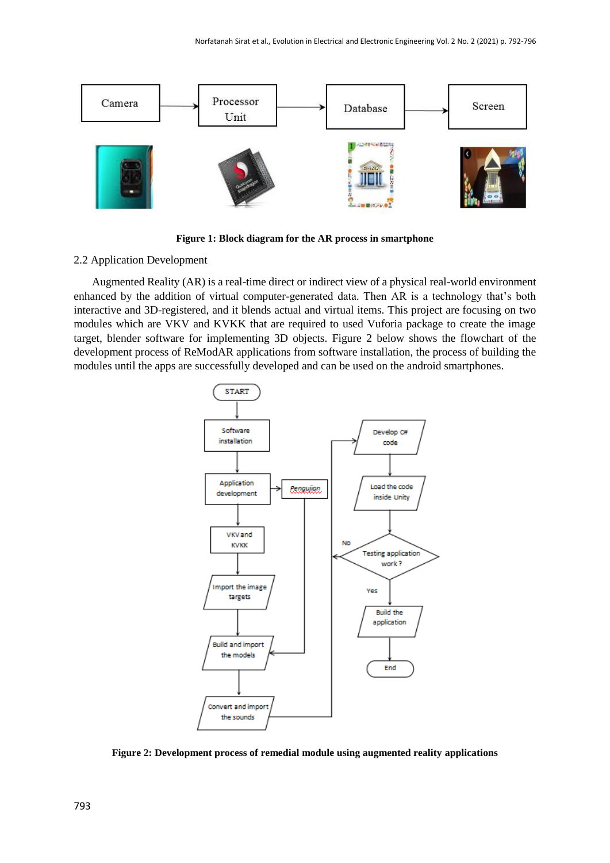

**Figure 1: Block diagram for the AR process in smartphone**

#### 2.2 Application Development

Augmented Reality (AR) is a real-time direct or indirect view of a physical real-world environment enhanced by the addition of virtual computer-generated data. Then AR is a technology that's both interactive and 3D-registered, and it blends actual and virtual items. This project are focusing on two modules which are VKV and KVKK that are required to used Vuforia package to create the image target, blender software for implementing 3D objects. Figure 2 below shows the flowchart of the development process of ReModAR applications from software installation, the process of building the modules until the apps are successfully developed and can be used on the android smartphones.



**Figure 2: Development process of remedial module using augmented reality applications**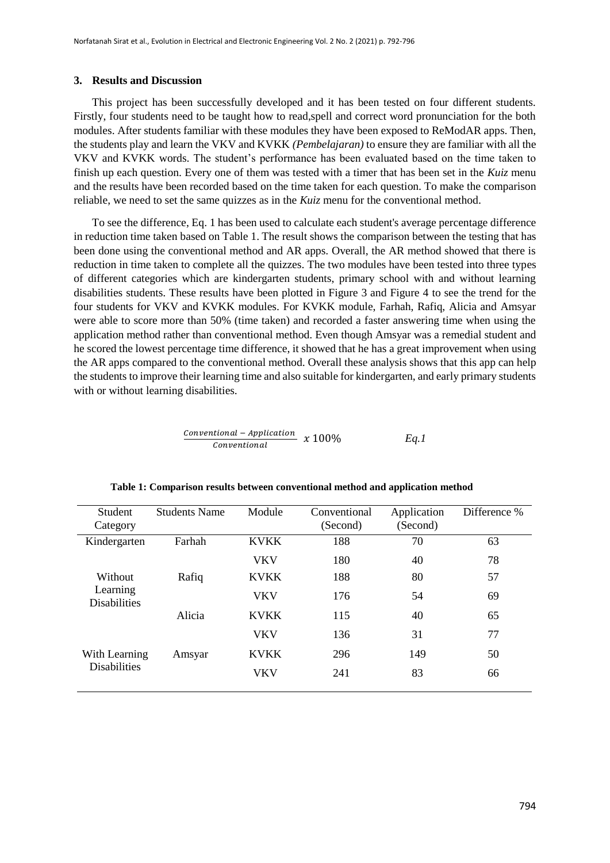#### **3. Results and Discussion**

This project has been successfully developed and it has been tested on four different students. Firstly, four students need to be taught how to read,spell and correct word pronunciation for the both modules. After students familiar with these modules they have been exposed to ReModAR apps. Then, the students play and learn the VKV and KVKK *(Pembelajaran)* to ensure they are familiar with all the VKV and KVKK words. The student's performance has been evaluated based on the time taken to finish up each question. Every one of them was tested with a timer that has been set in the *Kuiz* menu and the results have been recorded based on the time taken for each question. To make the comparison reliable, we need to set the same quizzes as in the *Kuiz* menu for the conventional method.

To see the difference, Eq. 1 has been used to calculate each student's average percentage difference in reduction time taken based on Table 1. The result shows the comparison between the testing that has been done using the conventional method and AR apps. Overall, the AR method showed that there is reduction in time taken to complete all the quizzes. The two modules have been tested into three types of different categories which are kindergarten students, primary school with and without learning disabilities students. These results have been plotted in Figure 3 and Figure 4 to see the trend for the four students for VKV and KVKK modules. For KVKK module, Farhah, Rafiq, Alicia and Amsyar were able to score more than 50% (time taken) and recorded a faster answering time when using the application method rather than conventional method. Even though Amsyar was a remedial student and he scored the lowest percentage time difference, it showed that he has a great improvement when using the AR apps compared to the conventional method. Overall these analysis shows that this app can help the students to improve their learning time and also suitable for kindergarten, and early primary students with or without learning disabilities.

| Conventional – Application | $x 100\%$ | Eq.1 |
|----------------------------|-----------|------|
| Conventional               |           |      |

| <b>Student</b><br>Category                 | <b>Students Name</b> | Module      | Conventional<br>(Second) | Application<br>(Second) | Difference % |
|--------------------------------------------|----------------------|-------------|--------------------------|-------------------------|--------------|
| Kindergarten                               | Farhah               | <b>KVKK</b> | 188                      | 70                      | 63           |
|                                            |                      | VKV         | 180                      | 40                      | 78           |
| Without<br>Learning<br><b>Disabilities</b> | Rafiq                | <b>KVKK</b> | 188                      | 80                      | 57           |
|                                            |                      | VKV         | 176                      | 54                      | 69           |
|                                            | Alicia               | <b>KVKK</b> | 115                      | 40                      | 65           |
|                                            |                      | <b>VKV</b>  | 136                      | 31                      | 77           |
| With Learning<br><b>Disabilities</b>       | Amsyar               | <b>KVKK</b> | 296                      | 149                     | 50           |
|                                            |                      | VKV         | 241                      | 83                      | 66           |

|  |  | Table 1: Comparison results between conventional method and application method |  |  |
|--|--|--------------------------------------------------------------------------------|--|--|
|  |  |                                                                                |  |  |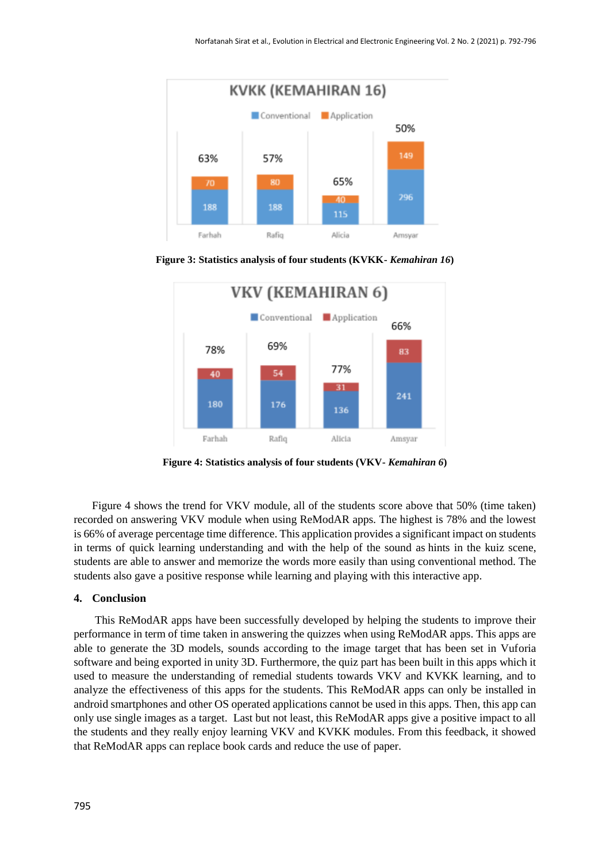

**Figure 3: Statistics analysis of four students (KVKK-** *Kemahiran 16***)**



**Figure 4: Statistics analysis of four students (VKV-** *Kemahiran 6***)**

Figure 4 shows the trend for VKV module, all of the students score above that 50% (time taken) recorded on answering VKV module when using ReModAR apps. The highest is 78% and the lowest is 66% of average percentage time difference. This application provides a significant impact on students in terms of quick learning understanding and with the help of the sound as hints in the kuiz scene, students are able to answer and memorize the words more easily than using conventional method. The students also gave a positive response while learning and playing with this interactive app.

#### **4. Conclusion**

This ReModAR apps have been successfully developed by helping the students to improve their performance in term of time taken in answering the quizzes when using ReModAR apps. This apps are able to generate the 3D models, sounds according to the image target that has been set in Vuforia software and being exported in unity 3D. Furthermore, the quiz part has been built in this apps which it used to measure the understanding of remedial students towards VKV and KVKK learning, and to analyze the effectiveness of this apps for the students. This ReModAR apps can only be installed in android smartphones and other OS operated applications cannot be used in this apps. Then, this app can only use single images as a target. Last but not least, this ReModAR apps give a positive impact to all the students and they really enjoy learning VKV and KVKK modules. From this feedback, it showed that ReModAR apps can replace book cards and reduce the use of paper.